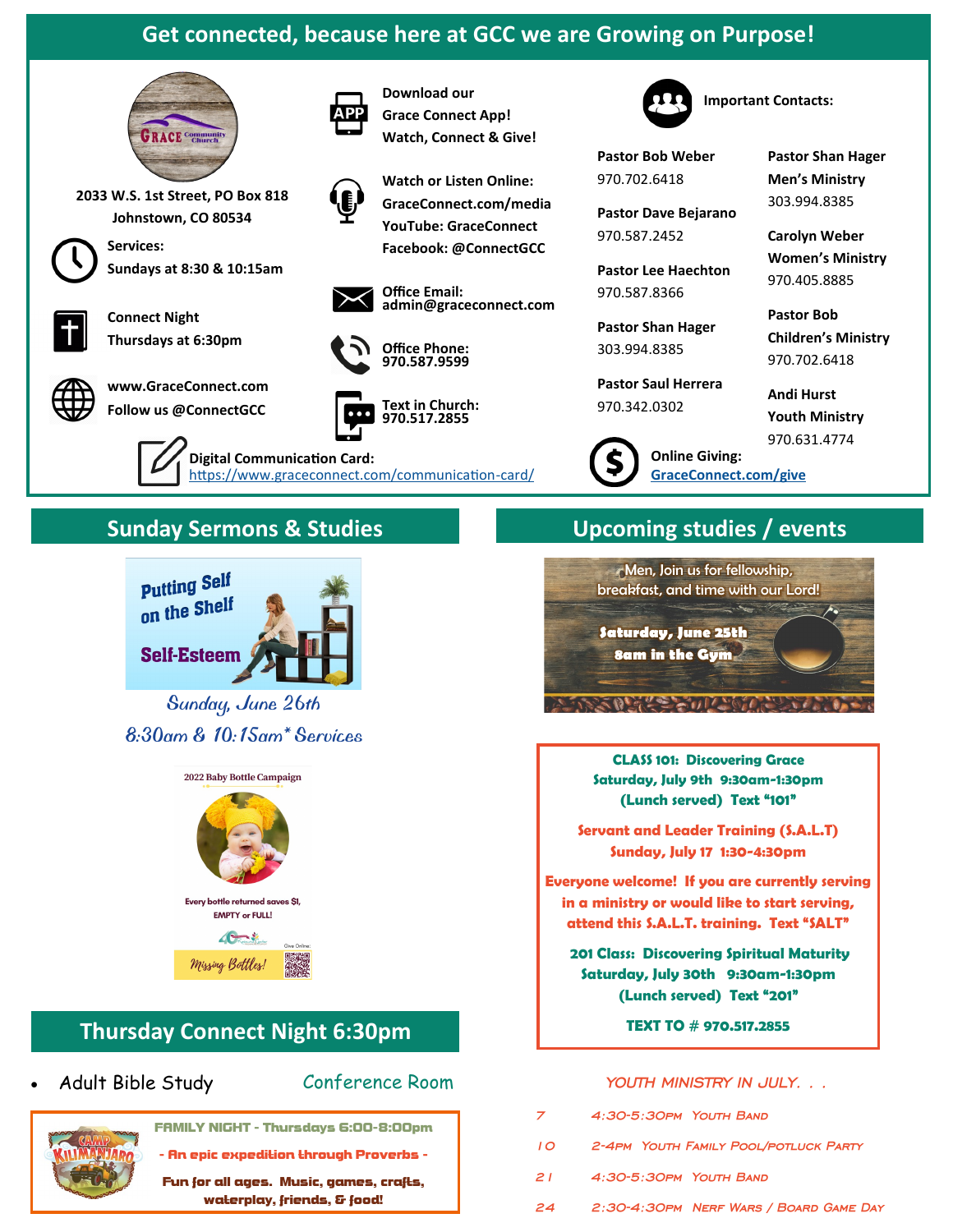# **Get connected, because here at GCC we are Growing on Purpose!**

**Download our Grace Connect App! Watch, Connect & Give!**

**Office Email:** 

**Office Phone: 970.587.9599**

**Text in Church: 970.517.2855**

**Watch or Listen Online: GraceConnect.com/media YouTube: GraceConnect Facebook: @ConnectGCC**

**admin@graceconnect.com**



**2033 W.S. 1st Street, PO Box 818 Johnstown, CO 80534**



**Services: Sundays at 8:30 & 10:15am**



**Connect Night Thursdays at 6:30pm**



**www.GraceConnect.com Follow us @ConnectGCC**

> **Digital Communication Card:**  [https://www.graceconnect.com/communication](https://www.graceconnect.com/communication-card/)-card/



**Pastor Bob Weber** 970.702.6418

**Pastor Dave Bejarano** 970.587.2452

**Pastor Lee Haechton** 970.587.8366

**Pastor Shan Hager** 303.994.8385

**Pastor Saul Herrera** 970.342.0302

**Pastor Shan Hager Men's Ministry** 303.994.8385

**Important Contacts:**

**Carolyn Weber Women's Ministry** 970.405.8885

**Pastor Bob Children's Ministry** 970.702.6418

**Andi Hurst Youth Ministry** 970.631.4774

# **Sunday Sermons & Studies Upcoming studies / events**



*Sunday, June 26th 8:30am & 10:15am\* Services* 





# **Thursday Connect Night 6:30pm**

## • Adult Bible Study

Conference Room



FAMILY NIGHT - Thursdays 6:00-8:00pm

- An epic expedition through Proverbs -

Fun for all ages. Music, games, crafts, waterplay, friends, & food!

**Online Giving:** 

**[GraceConnect.com/give](https://www.graceconnect.com/give/)**



**CLASS 101: Discovering Grace Saturday, July 9th 9:30am-1:30pm (Lunch served) Text "101"**

**Servant and Leader Training (S.A.L.T) Sunday, July 17 1:30-4:30pm**

**Everyone welcome! If you are currently serving in a ministry or would like to start serving, attend this S.A.L.T. training. Text "SALT"**

**201 Class: Discovering Spiritual Maturity Saturday, July 30th 9:30am-1:30pm (Lunch served) Text "201"** 

**TEXT TO # 970.517.2855**

## *YOUTH MINISTRY IN JULY…*

- *7 4:30-5:30pm Youth Band 10 2-4pm Youth Family Pool/potluck Party*
- *21 4:30-5:30pm Youth Band*
- *24 2:30-4:30pm Nerf Wars / Board Game Day*